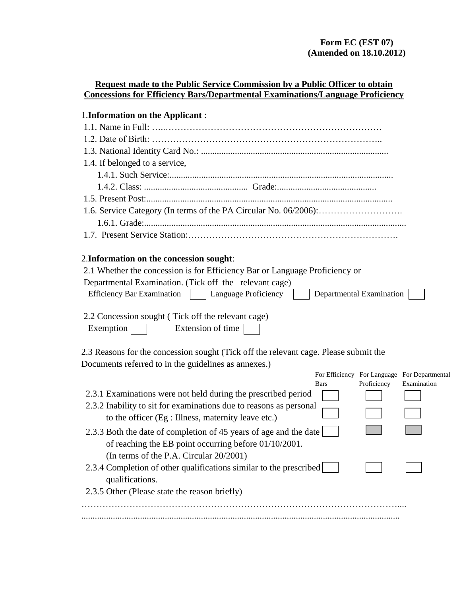| <b>Request made to the Public Service Commission by a Public Officer to obtain</b>    |  |
|---------------------------------------------------------------------------------------|--|
| <b>Concessions for Efficiency Bars/Departmental Examinations/Language Proficiency</b> |  |
|                                                                                       |  |

# 1.**Information on the Applicant** :

| 1.4. If belonged to a service, |
|--------------------------------|
|                                |
|                                |
|                                |
|                                |
|                                |
|                                |

# 2.**Information on the concession sought**:

| 2.1 Whether the concession is for Efficiency Bar or Language Proficiency or<br>Departmental Examination. (Tick off the relevant cage) |                          |             |                                              |
|---------------------------------------------------------------------------------------------------------------------------------------|--------------------------|-------------|----------------------------------------------|
| <b>Efficiency Bar Examination</b><br>Language Proficiency                                                                             | Departmental Examination |             |                                              |
| 2.2 Concession sought (Tick off the relevant cage)<br>Exemption<br>Extension of time                                                  |                          |             |                                              |
| 2.3 Reasons for the concession sought (Tick off the relevant cage. Please submit the                                                  |                          |             |                                              |
| Documents referred to in the guidelines as annexes.)                                                                                  |                          |             |                                              |
|                                                                                                                                       |                          |             | For Efficiency For Language For Departmental |
|                                                                                                                                       | <b>Bars</b>              | Proficiency | Examination                                  |
| 2.3.1 Examinations were not held during the prescribed period                                                                         |                          |             |                                              |
| 2.3.2 Inability to sit for examinations due to reasons as personal                                                                    |                          |             |                                              |
| to the officer (Eg : Illness, maternity leave etc.)                                                                                   |                          |             |                                              |
| 2.3.3 Both the date of completion of 45 years of age and the date                                                                     |                          |             |                                              |
| of reaching the EB point occurring before $01/10/2001$ .                                                                              |                          |             |                                              |
| (In terms of the P.A. Circular 20/2001)                                                                                               |                          |             |                                              |
| 2.3.4 Completion of other qualifications similar to the prescribed                                                                    |                          |             |                                              |
| qualifications.                                                                                                                       |                          |             |                                              |
| 2.3.5 Other (Please state the reason briefly)                                                                                         |                          |             |                                              |
|                                                                                                                                       |                          |             |                                              |
|                                                                                                                                       |                          |             |                                              |
|                                                                                                                                       |                          |             |                                              |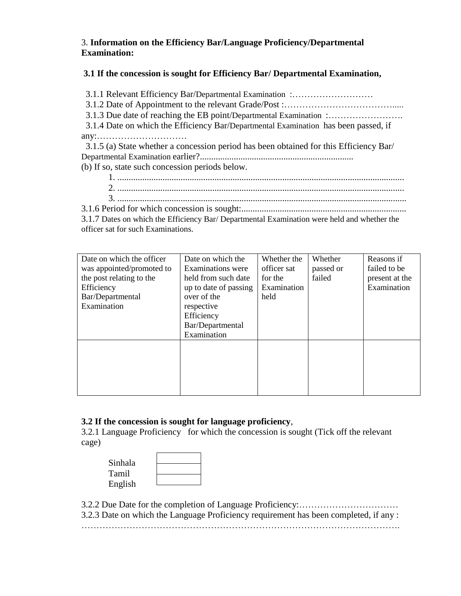### 3. **Information on the Efficiency Bar/Language Proficiency/Departmental Examination:**

#### **3.1 If the concession is sought for Efficiency Bar/ Departmental Examination,**

 3.1.1 Relevant Efficiency Bar/Departmental Examination :……………………… 3.1.2 Date of Appointment to the relevant Grade/Post :………………………………..... 3.1.3 Due date of reaching the EB point/Departmental Examination :……………………. 3.1.4 Date on which the Efficiency Bar/Departmental Examination has been passed, if any:………………………… 3.1.5 (a) State whether a concession period has been obtained for this Efficiency Bar/ Departmental Examination earlier?....................................................................

- (b) If so, state such concession periods below.
	- 1. ............................................................................................................................... 2. ...............................................................................................................................
	- 3. ................................................................................................................................
- 3.1.6 Period for which concession is sought:.........................................................................

3.1.7 Dates on which the Efficiency Bar/ Departmental Examination were held and whether the officer sat for such Examinations.

| Date on which the officer<br>was appointed/promoted to<br>the post relating to the<br>Efficiency<br>Bar/Departmental<br>Examination | Date on which the<br><b>Examinations</b> were<br>held from such date<br>up to date of passing<br>over of the<br>respective<br>Efficiency<br>Bar/Departmental<br>Examination | Whether the<br>officer sat<br>for the<br>Examination<br>held | Whether<br>passed or<br>failed | Reasons if<br>failed to be<br>present at the<br>Examination |
|-------------------------------------------------------------------------------------------------------------------------------------|-----------------------------------------------------------------------------------------------------------------------------------------------------------------------------|--------------------------------------------------------------|--------------------------------|-------------------------------------------------------------|
|                                                                                                                                     |                                                                                                                                                                             |                                                              |                                |                                                             |

### **3.2 If the concession is sought for language proficiency**,

3.2.1 Language Proficiency for which the concession is sought (Tick off the relevant cage)

| Sinhala |  |
|---------|--|
|         |  |
| Tamil   |  |
| English |  |
|         |  |

3.2.2 Due Date for the completion of Language Proficiency:…………………………… 3.2.3 Date on which the Language Proficiency requirement has been completed, if any : …………………………………………………………………………………………….